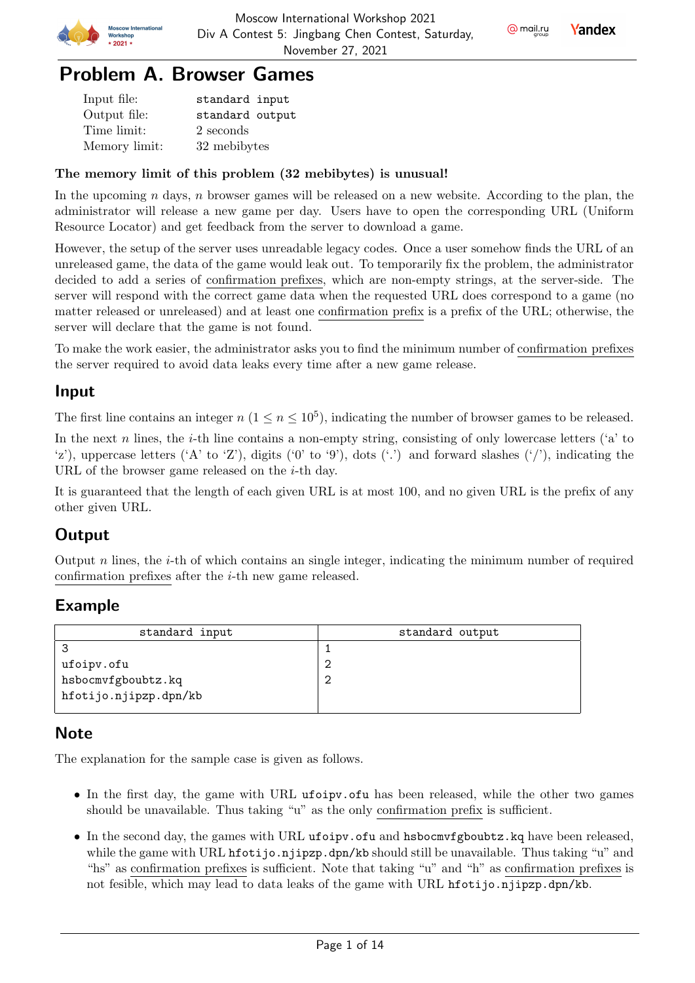



**Yandex** 

## Problem A. Browser Games

| Input file:   | standard input  |
|---------------|-----------------|
| Output file:  | standard output |
| Time limit:   | 2 seconds       |
| Memory limit: | 32 mebibytes    |

#### The memory limit of this problem (32 mebibytes) is unusual!

In the upcoming  $n$  days,  $n$  browser games will be released on a new website. According to the plan, the administrator will release a new game per day. Users have to open the corresponding URL (Uniform Resource Locator) and get feedback from the server to download a game.

However, the setup of the server uses unreadable legacy codes. Once a user somehow finds the URL of an unreleased game, the data of the game would leak out. To temporarily fix the problem, the administrator decided to add a series of confirmation prefixes, which are non-empty strings, at the server-side. The server will respond with the correct game data when the requested URL does correspond to a game (no matter released or unreleased) and at least one confirmation prefix is a prefix of the URL; otherwise, the server will declare that the game is not found.

To make the work easier, the administrator asks you to find the minimum number of confirmation prefixes the server required to avoid data leaks every time after a new game release.

#### Input

The first line contains an integer  $n (1 \le n \le 10^5)$ , indicating the number of browser games to be released.

In the next  $n$  lines, the *i*-th line contains a non-empty string, consisting of only lowercase letters ('a' to 'z'), uppercase letters ('A' to 'Z'), digits ('0' to '9'), dots ('.') and forward slashes ('/'), indicating the URL of the browser game released on the  $i$ -th day.

It is guaranteed that the length of each given URL is at most 100, and no given URL is the prefix of any other given URL.

## **Output**

Output  $n$  lines, the  $i$ -th of which contains an single integer, indicating the minimum number of required confirmation prefixes after the  $i$ -th new game released.

## Example

| standard input        | standard output |
|-----------------------|-----------------|
|                       |                 |
| ufoipv.ofu            |                 |
| hsbocmvfgboubtz.kq    |                 |
| hfotijo.njipzp.dpn/kb |                 |
|                       |                 |

#### **Note**

The explanation for the sample case is given as follows.

- In the first day, the game with URL ufoipv.ofu has been released, while the other two games should be unavailable. Thus taking "u" as the only confirmation prefix is sufficient.
- In the second day, the games with URL ufoipv.ofu and hsbocmvfgboubtz.kq have been released, while the game with URL hfotijo.njipzp.dpn/kb should still be unavailable. Thus taking "u" and "hs" as confirmation prefixes is sufficient. Note that taking "u" and "h" as confirmation prefixes is not fesible, which may lead to data leaks of the game with URL hfotijo.njipzp.dpn/kb.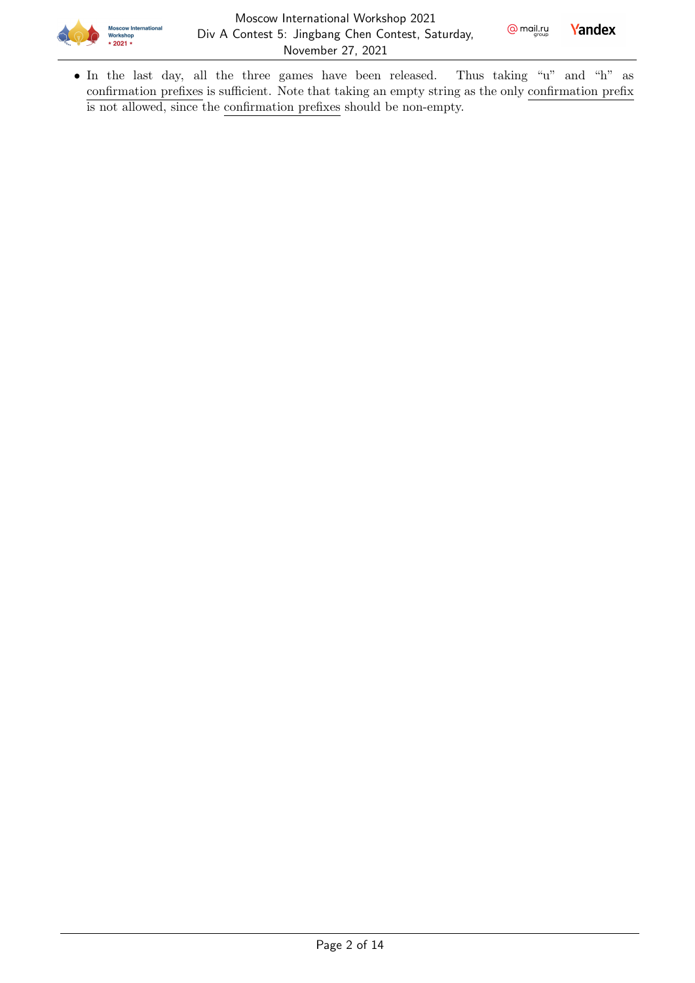



• In the last day, all the three games have been released. Thus taking "u" and "h" as confirmation prefixes is sufficient. Note that taking an empty string as the only confirmation prefix is not allowed, since the confirmation prefixes should be non-empty.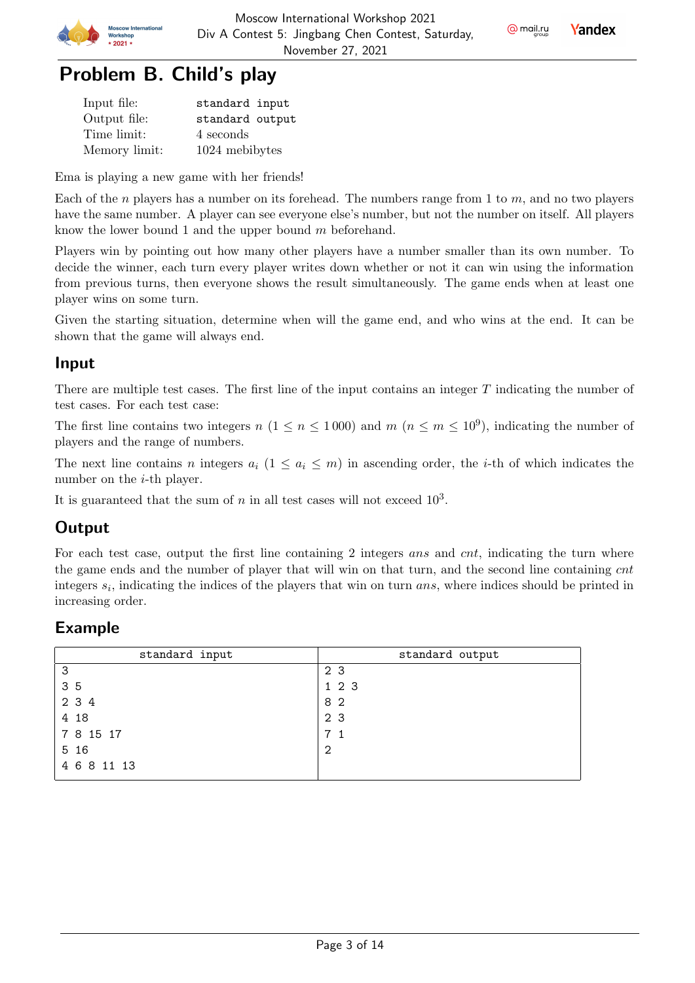

@ mail.ru

**Yandex** 



| Input file:   | standard input  |
|---------------|-----------------|
| Output file:  | standard output |
| Time limit:   | 4 seconds       |
| Memory limit: | 1024 mebibytes  |

Ema is playing a new game with her friends!

Each of the *n* players has a number on its forehead. The numbers range from 1 to *m*, and no two players have the same number. A player can see everyone else's number, but not the number on itself. All players know the lower bound 1 and the upper bound  $m$  beforehand.

Players win by pointing out how many other players have a number smaller than its own number. To decide the winner, each turn every player writes down whether or not it can win using the information from previous turns, then everyone shows the result simultaneously. The game ends when at least one player wins on some turn.

Given the starting situation, determine when will the game end, and who wins at the end. It can be shown that the game will always end.

#### Input

There are multiple test cases. The first line of the input contains an integer  $T$  indicating the number of test cases. For each test case:

The first line contains two integers  $n (1 \le n \le 1000)$  and  $m (n \le m \le 10^9)$ , indicating the number of players and the range of numbers.

The next line contains *n* integers  $a_i$   $(1 \le a_i \le m)$  in ascending order, the *i*-th of which indicates the number on the  $i$ -th player.

It is guaranteed that the sum of  $n$  in all test cases will not exceed  $10^3$ .

### **Output**

For each test case, output the first line containing 2 integers ans and cnt, indicating the turn where the game ends and the number of player that will win on that turn, and the second line containing cnt integers  $s_i$ , indicating the indices of the players that win on turn  $ans$ , where indices should be printed in increasing order.

| standard input | standard output |
|----------------|-----------------|
| -3             | 2 3             |
| 35             | 1 2 3           |
| 2 3 4          | 82              |
| 4 18           | 2 3             |
| 7 8 15 17      | 7 <sub>1</sub>  |
| 5 16           | 2               |
| 4 6 8 11 13    |                 |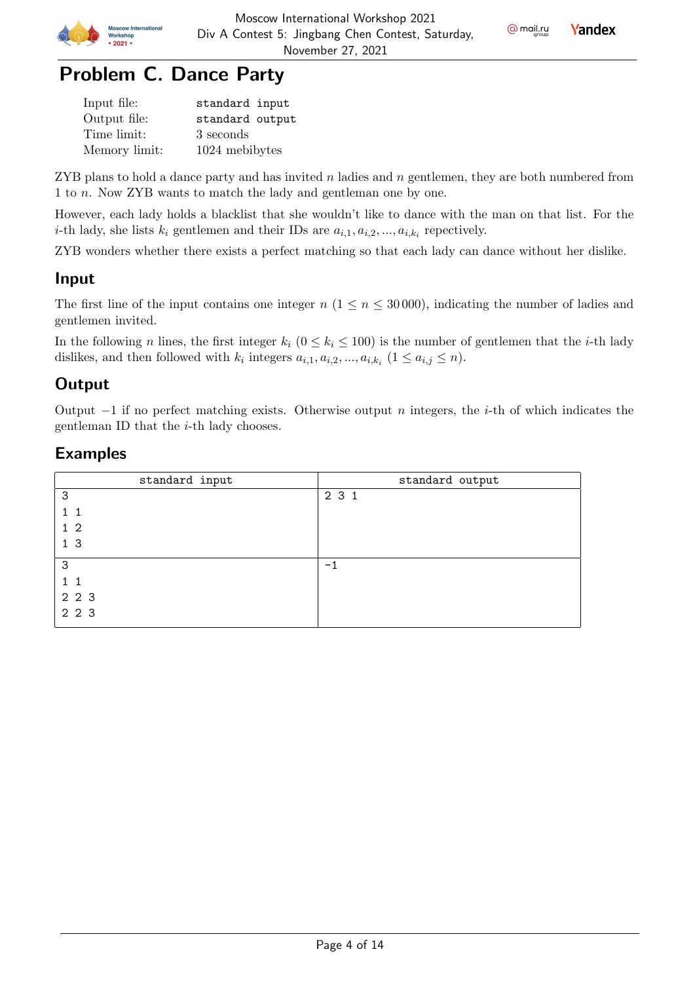

 $Q$  mail.ru

**Yandex** 

## Problem C. Dance Party

| Input file:   | standard input  |
|---------------|-----------------|
| Output file:  | standard output |
| Time limit:   | 3 seconds       |
| Memory limit: | 1024 mebibytes  |

ZYB plans to hold a dance party and has invited  $n$  ladies and  $n$  gentlemen, they are both numbered from 1 to *n*. Now ZYB wants to match the lady and gentleman one by one.

However, each lady holds a blacklist that she wouldn't like to dance with the man on that list. For the *i*-th lady, she lists  $k_i$  gentlemen and their IDs are  $a_{i,1}, a_{i,2}, ..., a_{i,k_i}$  repectively.

ZYB wonders whether there exists a perfect matching so that each lady can dance without her dislike.

### Input

The first line of the input contains one integer  $n (1 \le n \le 30000)$ , indicating the number of ladies and gentlemen invited.

In the following *n* lines, the first integer  $k_i$  ( $0 \le k_i \le 100$ ) is the number of gentlemen that the *i*-th lady dislikes, and then followed with  $k_i$  integers  $a_{i,1}, a_{i,2}, ..., a_{i,k_i}$   $(1 \le a_{i,j} \le n)$ .

## **Output**

Output  $-1$  if no perfect matching exists. Otherwise output *n* integers, the *i*-th of which indicates the gentleman ID that the  $i$ -th lady chooses.

| standard input | standard output |
|----------------|-----------------|
| 3              | 2 3 1           |
| 11             |                 |
| $1\quad2$      |                 |
| 1 <sub>3</sub> |                 |
| 3              | $-1$            |
| $1\quad1$      |                 |
| 2 2 3          |                 |
| 2 2 3          |                 |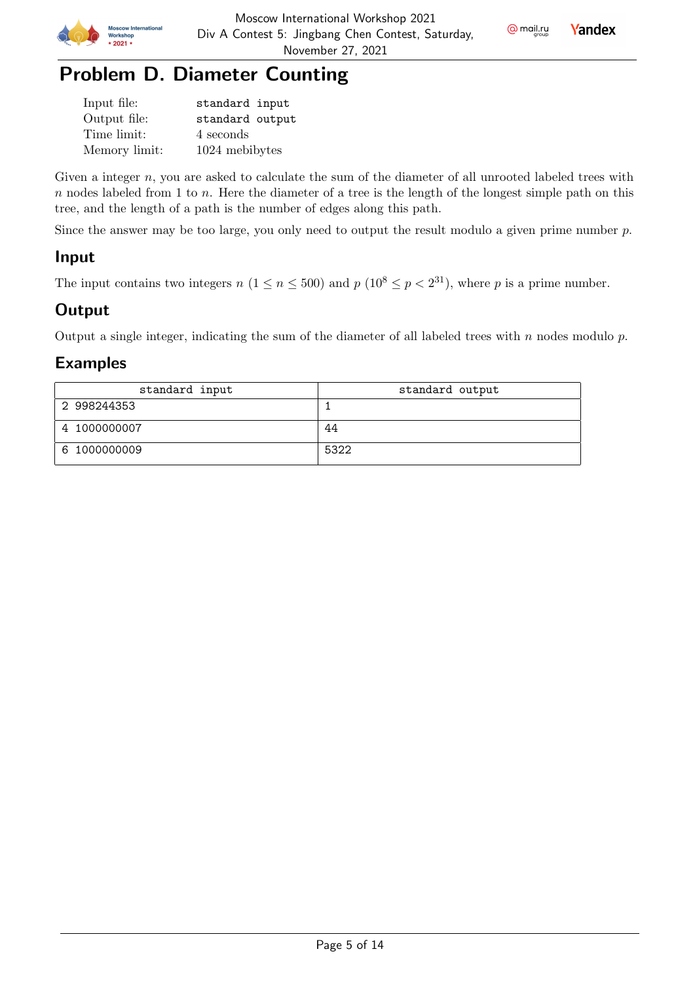



| Input file:   | standard input  |
|---------------|-----------------|
| Output file:  | standard output |
| Time limit:   | 4 seconds       |
| Memory limit: | 1024 mebibytes  |

Given a integer  $n$ , you are asked to calculate the sum of the diameter of all unrooted labeled trees with  $n$  nodes labeled from 1 to  $n$ . Here the diameter of a tree is the length of the longest simple path on this tree, and the length of a path is the number of edges along this path.

Since the answer may be too large, you only need to output the result modulo a given prime number  $p$ .

#### Input

The input contains two integers  $n (1 \le n \le 500)$  and  $p (10^8 \le p < 2^{31})$ , where p is a prime number.

#### **Output**

Output a single integer, indicating the sum of the diameter of all labeled trees with  $n$  nodes modulo  $p$ .

| standard input | standard output |
|----------------|-----------------|
| 2 998244353    |                 |
| 4 1000000007   | 44              |
| 6 1000000009   | 5322            |

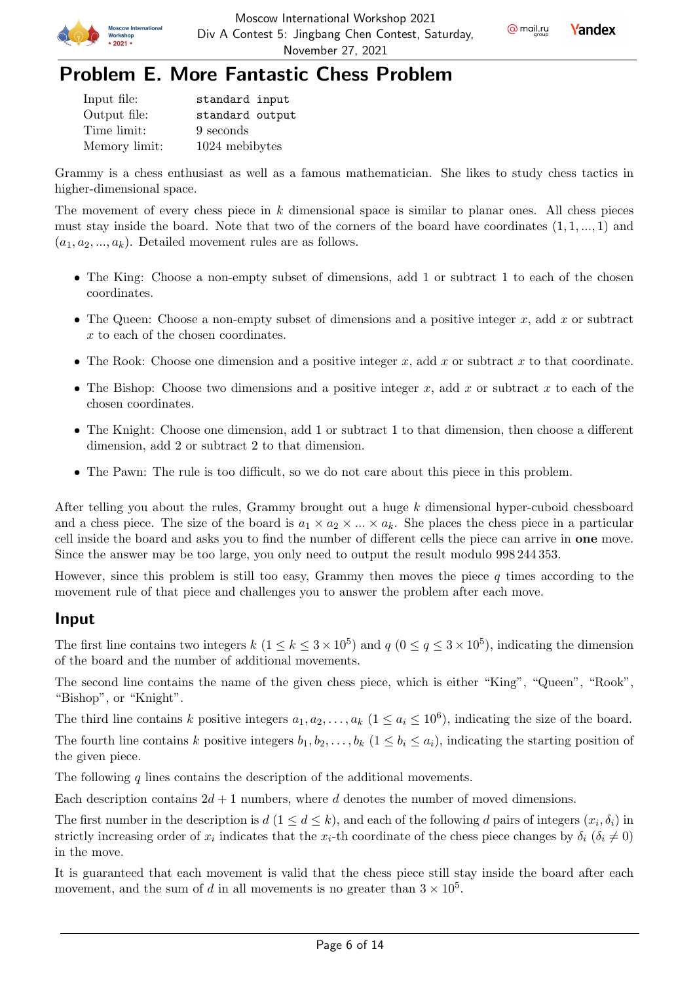



## Problem E. More Fantastic Chess Problem

| Input file:   | standard input  |
|---------------|-----------------|
| Output file:  | standard output |
| Time limit:   | 9 seconds       |
| Memory limit: | 1024 mebibytes  |

Grammy is a chess enthusiast as well as a famous mathematician. She likes to study chess tactics in higher-dimensional space.

The movement of every chess piece in  $k$  dimensional space is similar to planar ones. All chess pieces must stay inside the board. Note that two of the corners of the board have coordinates  $(1, 1, ..., 1)$  and  $(a_1, a_2, ..., a_k)$ . Detailed movement rules are as follows.

- The King: Choose a non-empty subset of dimensions, add 1 or subtract 1 to each of the chosen coordinates.
- The Queen: Choose a non-empty subset of dimensions and a positive integer  $x$ , add  $x$  or subtract x to each of the chosen coordinates.
- The Rook: Choose one dimension and a positive integer  $x$ , add  $x$  or subtract  $x$  to that coordinate.
- The Bishop: Choose two dimensions and a positive integer  $x$ , add  $x$  or subtract  $x$  to each of the chosen coordinates.
- The Knight: Choose one dimension, add 1 or subtract 1 to that dimension, then choose a different dimension, add 2 or subtract 2 to that dimension.
- The Pawn: The rule is too difficult, so we do not care about this piece in this problem.

After telling you about the rules, Grammy brought out a huge  $k$  dimensional hyper-cuboid chessboard and a chess piece. The size of the board is  $a_1 \times a_2 \times ... \times a_k$ . She places the chess piece in a particular cell inside the board and asks you to find the number of different cells the piece can arrive in one move. Since the answer may be too large, you only need to output the result modulo 998 244 353.

However, since this problem is still too easy, Grammy then moves the piece  $q$  times according to the movement rule of that piece and challenges you to answer the problem after each move.

#### Input

The first line contains two integers  $k$   $(1 \le k \le 3 \times 10^5)$  and  $q$   $(0 \le q \le 3 \times 10^5)$ , indicating the dimension of the board and the number of additional movements.

The second line contains the name of the given chess piece, which is either "King", "Queen", "Rook", "Bishop", or "Knight".

The third line contains k positive integers  $a_1, a_2, \ldots, a_k$   $(1 \le a_i \le 10^6)$ , indicating the size of the board.

The fourth line contains k positive integers  $b_1, b_2, \ldots, b_k$   $(1 \leq b_i \leq a_i)$ , indicating the starting position of the given piece.

The following  $q$  lines contains the description of the additional movements.

Each description contains  $2d + 1$  numbers, where d denotes the number of moved dimensions.

The first number in the description is  $d (1 \leq d \leq k)$ , and each of the following d pairs of integers  $(x_i, \delta_i)$  in strictly increasing order of  $x_i$  indicates that the  $x_i$ -th coordinate of the chess piece changes by  $\delta_i$   $(\delta_i \neq 0)$ in the move.

It is guaranteed that each movement is valid that the chess piece still stay inside the board after each movement, and the sum of d in all movements is no greater than  $3 \times 10^5$ .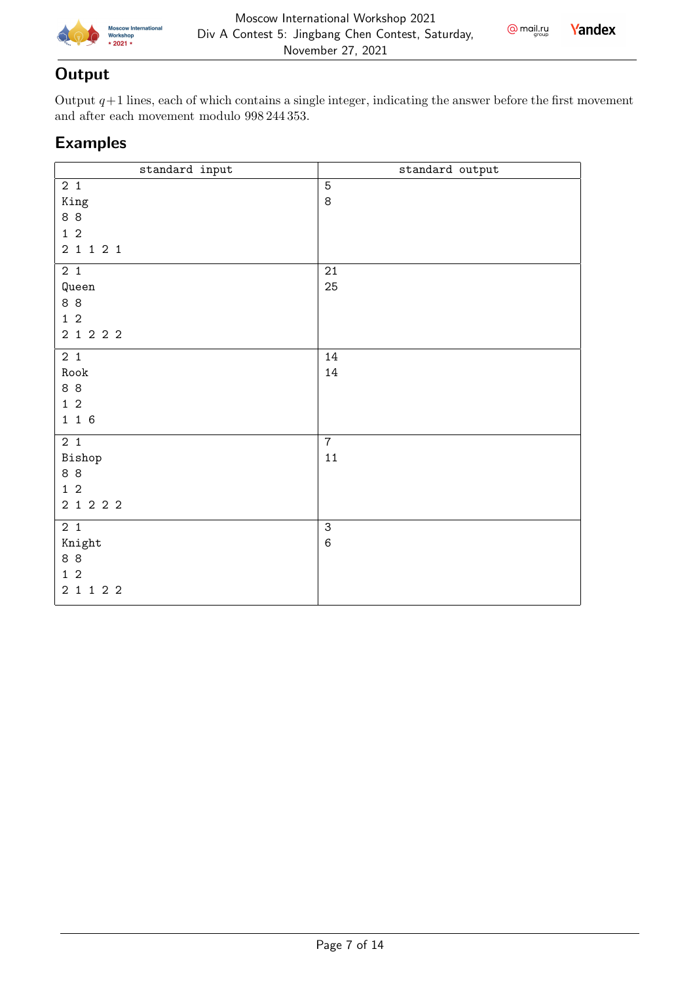



### **Output**

Output  $q+1$  lines, each of which contains a single integer, indicating the answer before the first movement and after each movement modulo 998 244 353.

| standard input                                              | standard output           |
|-------------------------------------------------------------|---------------------------|
| 2 <sub>1</sub><br>King<br>88<br>$1\quad2$<br>$2$ 1 1 2 1    | $\overline{5}$<br>$\,8\,$ |
| 2 <sub>1</sub><br>Queen<br>8 8<br>$1\quad2$<br>2 1 2 2 2    | 21<br>25                  |
| 2 <sub>1</sub><br>${\tt Root}$<br>88<br>$1\,2$<br>1 1 6     | 14<br>14                  |
| 2 <sub>1</sub><br>Bishop<br>8 8<br>$1\quad2$<br>2 1 2 2 2   | $\overline{7}$<br>11      |
| 2 <sub>1</sub><br>Knight<br>8 8<br>$1\quad2$<br>$2$ 1 1 2 2 | $\overline{3}$<br>$\,6$   |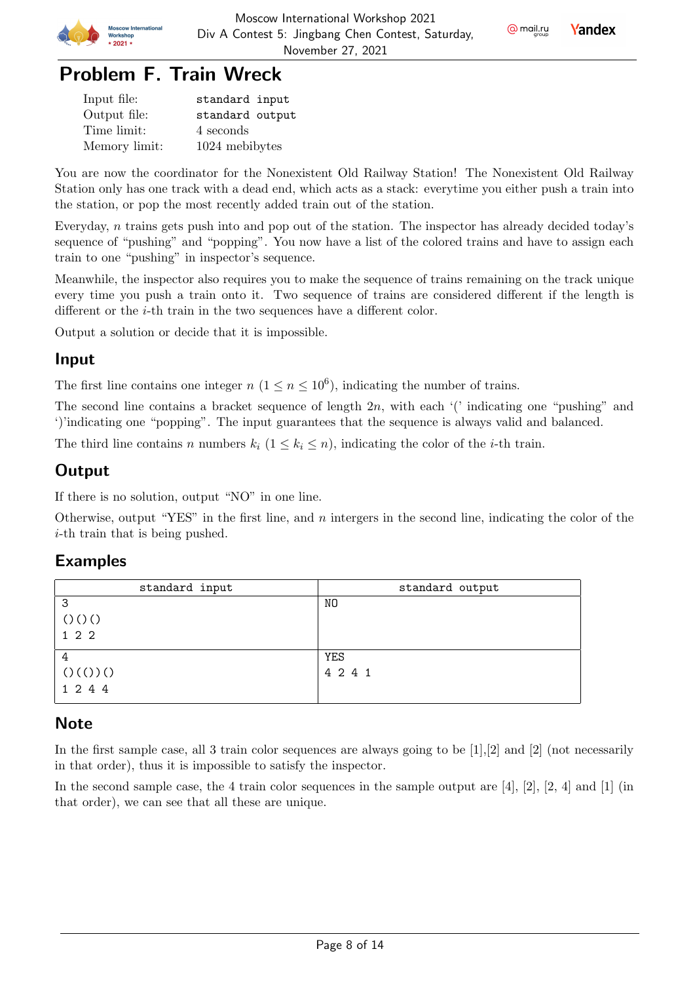

@ mail.ru

**Yandex** 

## Problem F. Train Wreck

| Input file:   | standard input  |
|---------------|-----------------|
| Output file:  | standard output |
| Time limit:   | 4 seconds       |
| Memory limit: | 1024 mebibytes  |

You are now the coordinator for the Nonexistent Old Railway Station! The Nonexistent Old Railway Station only has one track with a dead end, which acts as a stack: everytime you either push a train into the station, or pop the most recently added train out of the station.

Everyday,  $n$  trains gets push into and pop out of the station. The inspector has already decided today's sequence of "pushing" and "popping". You now have a list of the colored trains and have to assign each train to one "pushing" in inspector's sequence.

Meanwhile, the inspector also requires you to make the sequence of trains remaining on the track unique every time you push a train onto it. Two sequence of trains are considered different if the length is different or the  $i$ -th train in the two sequences have a different color.

Output a solution or decide that it is impossible.

#### Input

The first line contains one integer  $n (1 \le n \le 10^6)$ , indicating the number of trains.

The second line contains a bracket sequence of length  $2n$ , with each '(' indicating one "pushing" and ')'indicating one "popping". The input guarantees that the sequence is always valid and balanced.

The third line contains *n* numbers  $k_i$   $(1 \leq k_i \leq n)$ , indicating the color of the *i*-th train.

## **Output**

If there is no solution, output "NO" in one line.

Otherwise, output "YES" in the first line, and  $n$  intergers in the second line, indicating the color of the  $i$ -th train that is being pushed.

#### Examples

| standard input | standard output |
|----------------|-----------------|
| 3              | NO.             |
| ()()()         |                 |
| 122            |                 |
| 4              | YES             |
| ()(())()       | 4 2 4 1         |
| 1 2 4 4        |                 |

### **Note**

In the first sample case, all 3 train color sequences are always going to be [1],[2] and [2] (not necessarily in that order), thus it is impossible to satisfy the inspector.

In the second sample case, the 4 train color sequences in the sample output are [4], [2], [2, 4] and [1] (in that order), we can see that all these are unique.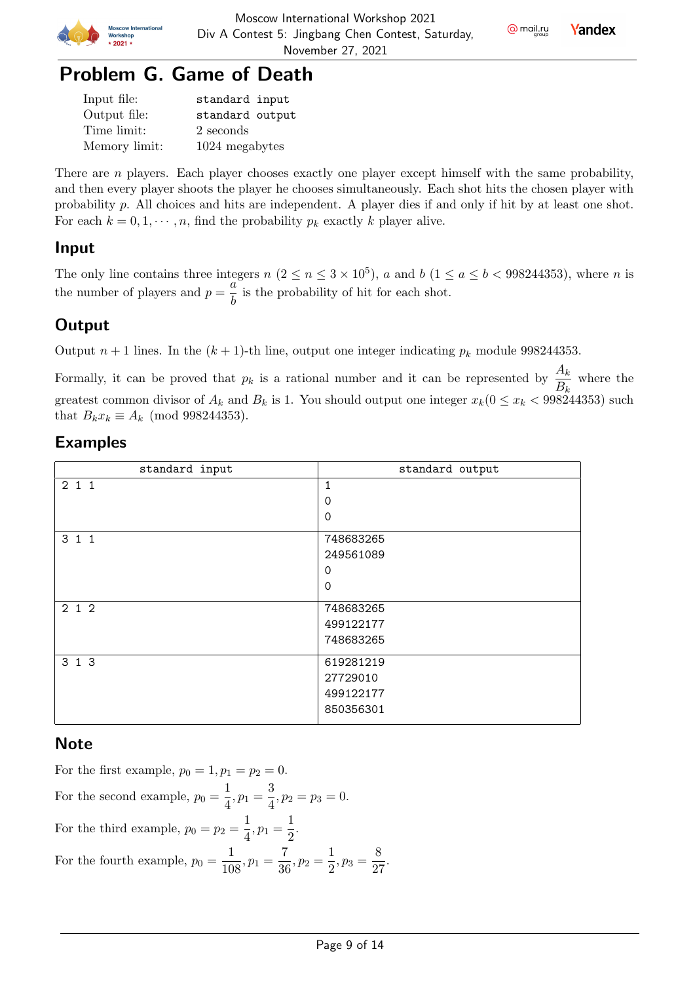

@ mail.ru

Yandex



| Input file:   | standard input  |
|---------------|-----------------|
| Output file:  | standard output |
| Time limit:   | 2 seconds       |
| Memory limit: | 1024 megabytes  |

There are  $n$  players. Each player chooses exactly one player except himself with the same probability, and then every player shoots the player he chooses simultaneously. Each shot hits the chosen player with probability  $p$ . All choices and hits are independent. A player dies if and only if hit by at least one shot. For each  $k = 0, 1, \dots, n$ , find the probability  $p_k$  exactly k player alive.

#### Input

The only line contains three integers  $n (2 \le n \le 3 \times 10^5)$ , a and  $b (1 \le a \le b < 998244353)$ , where n is the number of players and  $p = \frac{a}{l}$  $\frac{\alpha}{b}$  is the probability of hit for each shot.

### **Output**

Output  $n+1$  lines. In the  $(k+1)$ -th line, output one integer indicating  $p_k$  module 998244353.

Formally, it can be proved that  $p_k$  is a rational number and it can be represented by  $\frac{A_k}{R}$  where the  $B_k$ greatest common divisor of  $A_k$  and  $B_k$  is 1. You should output one integer  $x_k$  ( $0 \le x_k$  < 998244353) such that  $B_k x_k \equiv A_k \pmod{998244353}$ .

#### Examples

| standard input | standard output                                   |
|----------------|---------------------------------------------------|
| 211            | 1<br>$\Omega$<br>$\Omega$                         |
| 3 1 1          | 748683265<br>249561089<br>$\Omega$<br>$\mathbf 0$ |
| 212            | 748683265<br>499122177<br>748683265               |
| 3 1 3          | 619281219<br>27729010<br>499122177<br>850356301   |

#### **Note**

For the first example,  $p_0 = 1, p_1 = p_2 = 0$ . For the second example,  $p_0 = \frac{1}{4}$  $\frac{1}{4}, p_1 = \frac{3}{4}$  $\frac{6}{4}$ ,  $p_2 = p_3 = 0$ . For the third example,  $p_0 = p_2 = \frac{1}{4}$  $\frac{1}{4}, p_1 = \frac{1}{2}$  $\frac{1}{2}$ . For the fourth example,  $p_0 = \frac{1}{10}$  $\frac{1}{108}, p_1 = \frac{7}{36}$  $\frac{7}{36}, p_2 = \frac{1}{2}$  $\frac{1}{2}, p_3 = \frac{8}{2}$  $rac{8}{27}$ .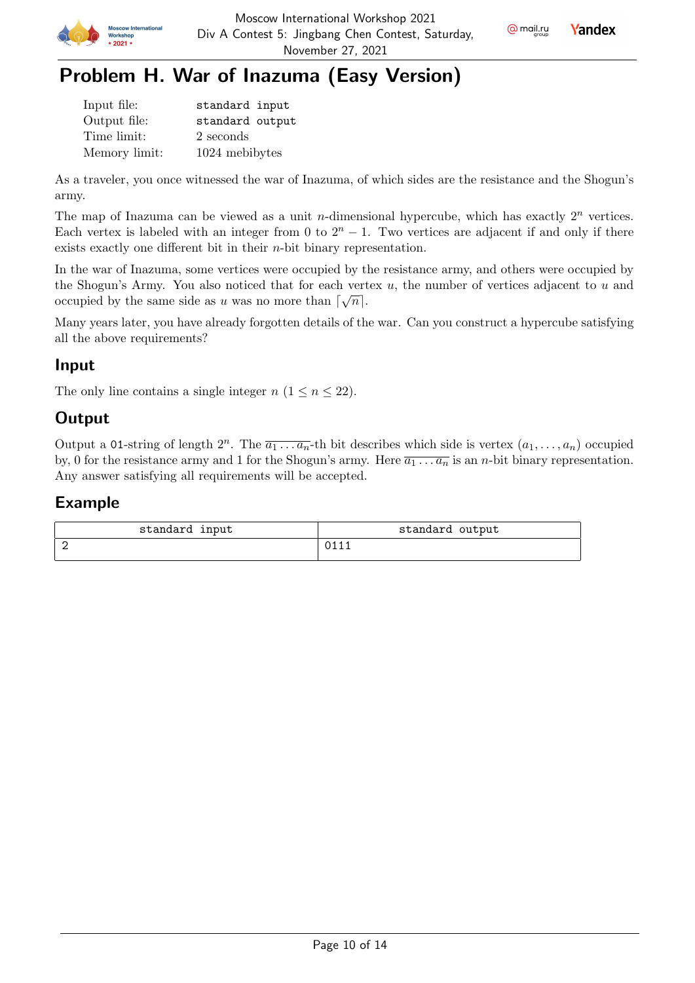



## Problem H. War of Inazuma (Easy Version)

| Input file:   | standard input  |
|---------------|-----------------|
| Output file:  | standard output |
| Time limit:   | 2 seconds       |
| Memory limit: | 1024 mebibytes  |

As a traveler, you once witnessed the war of Inazuma, of which sides are the resistance and the Shogun's army.

The map of Inazuma can be viewed as a unit *n*-dimensional hypercube, which has exactly  $2^n$  vertices. Each vertex is labeled with an integer from 0 to  $2<sup>n</sup> - 1$ . Two vertices are adjacent if and only if there exists exactly one different bit in their  $n$ -bit binary representation.

In the war of Inazuma, some vertices were occupied by the resistance army, and others were occupied by the Shogun's Army. You also noticed that for each vertex  $u$ , the number of vertices adjacent to  $u$  and occupied by the same side as u was no more than  $\lceil \sqrt{n} \rceil$ .

Many years later, you have already forgotten details of the war. Can you construct a hypercube satisfying all the above requirements?

### Input

The only line contains a single integer  $n (1 \le n \le 22)$ .

## **Output**

Output a 01-string of length  $2^n$ . The  $\overline{a_1 \ldots a_n}$ -th bit describes which side is vertex  $(a_1, \ldots, a_n)$  occupied by, 0 for the resistance army and 1 for the Shogun's army. Here  $\overline{a_1 \ldots a_n}$  is an *n*-bit binary representation. Any answer satisfying all requirements will be accepted.

| standard input | standard output |
|----------------|-----------------|
|                |                 |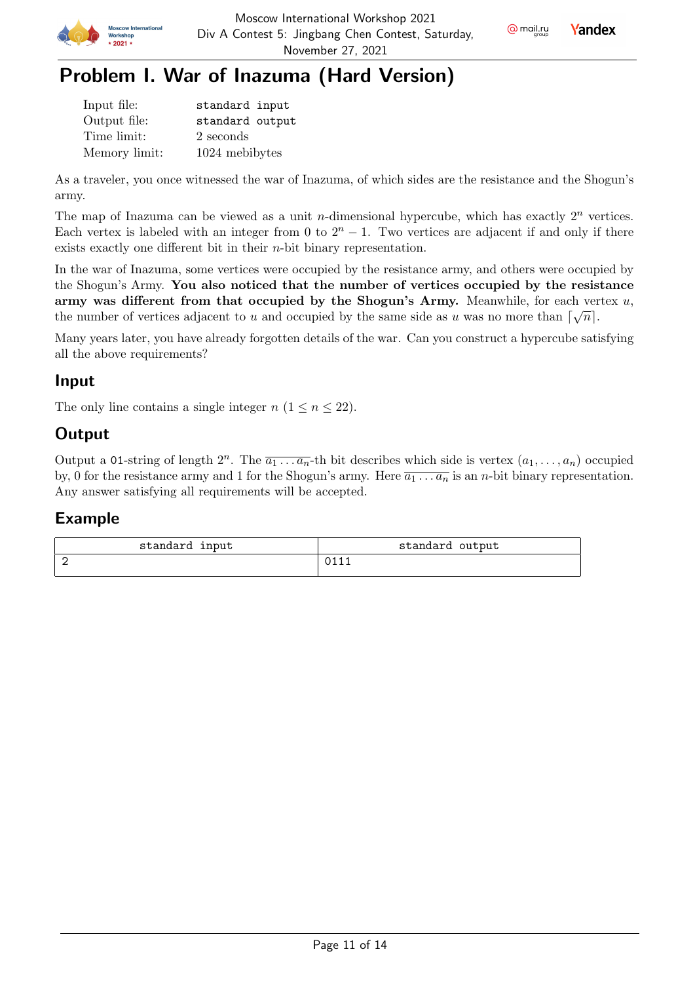





## Problem I. War of Inazuma (Hard Version)

| Input file:   | standard input  |
|---------------|-----------------|
| Output file:  | standard output |
| Time limit:   | 2 seconds       |
| Memory limit: | 1024 mebibytes  |

As a traveler, you once witnessed the war of Inazuma, of which sides are the resistance and the Shogun's army.

The map of Inazuma can be viewed as a unit *n*-dimensional hypercube, which has exactly  $2^n$  vertices. Each vertex is labeled with an integer from 0 to  $2<sup>n</sup> - 1$ . Two vertices are adjacent if and only if there exists exactly one different bit in their  $n$ -bit binary representation.

In the war of Inazuma, some vertices were occupied by the resistance army, and others were occupied by the Shogun's Army. You also noticed that the number of vertices occupied by the resistance army was different from that occupied by the Shogun's Army. Meanwhile, for each vertex  $u$ , the number of vertices adjacent to u and occupied by the same side as u was no more than  $\lceil \sqrt{n} \rceil$ .

Many years later, you have already forgotten details of the war. Can you construct a hypercube satisfying all the above requirements?

#### Input

The only line contains a single integer  $n (1 \le n \le 22)$ .

## **Output**

Output a 01-string of length  $2^n$ . The  $\overline{a_1 \ldots a_n}$ -th bit describes which side is vertex  $(a_1, \ldots, a_n)$  occupied by, 0 for the resistance army and 1 for the Shogun's army. Here  $\overline{a_1 \ldots a_n}$  is an *n*-bit binary representation. Any answer satisfying all requirements will be accepted.

| standard input | standard output |
|----------------|-----------------|
|                |                 |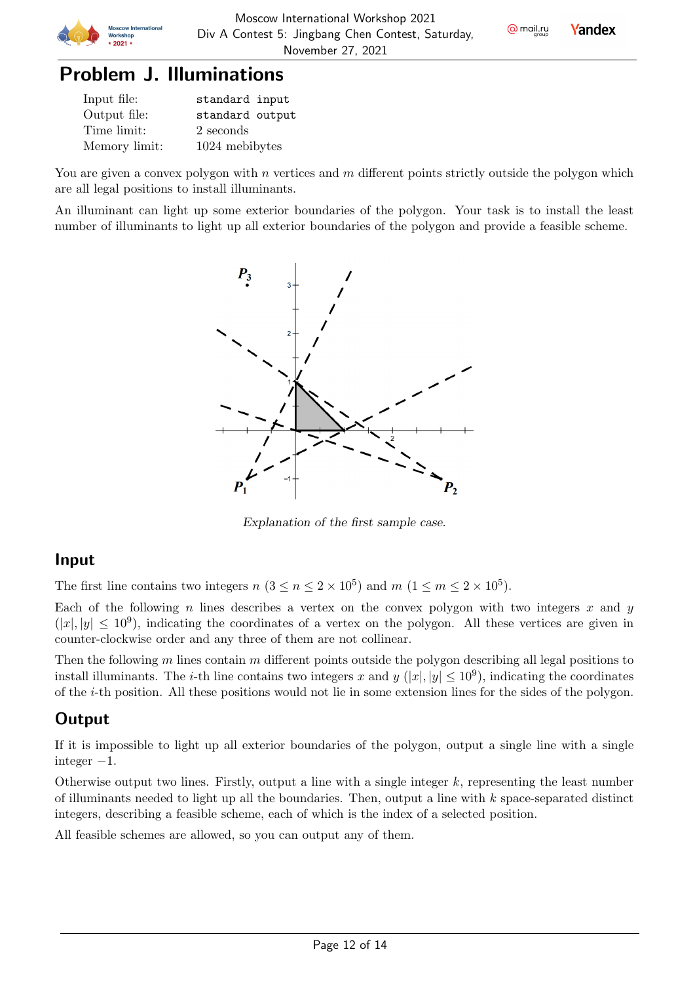

## Problem J. Illuminations

| Input file:   | standard input  |
|---------------|-----------------|
| Output file:  | standard output |
| Time limit:   | 2 seconds       |
| Memory limit: | 1024 mebibytes  |

You are given a convex polygon with  $n$  vertices and  $m$  different points strictly outside the polygon which are all legal positions to install illuminants.

An illuminant can light up some exterior boundaries of the polygon. Your task is to install the least number of illuminants to light up all exterior boundaries of the polygon and provide a feasible scheme.



Explanation of the first sample case.

#### Input

The first line contains two integers  $n (3 \le n \le 2 \times 10^5)$  and  $m (1 \le m \le 2 \times 10^5)$ .

Each of the following  $n$  lines describes a vertex on the convex polygon with two integers  $x$  and  $y$  $(|x|, |y| \leq 10^9)$ , indicating the coordinates of a vertex on the polygon. All these vertices are given in counter-clockwise order and any three of them are not collinear.

Then the following  $m$  lines contain  $m$  different points outside the polygon describing all legal positions to install illuminants. The *i*-th line contains two integers x and  $y$  (|x|, |y|  $\leq 10^9$ ), indicating the coordinates of the -th position. All these positions would not lie in some extension lines for the sides of the polygon.

### **Output**

If it is impossible to light up all exterior boundaries of the polygon, output a single line with a single integer  $-1$ .

Otherwise output two lines. Firstly, output a line with a single integer  $k$ , representing the least number of illuminants needed to light up all the boundaries. Then, output a line with  $k$  space-separated distinct integers, describing a feasible scheme, each of which is the index of a selected position.

All feasible schemes are allowed, so you can output any of them.

Page 12 of 14



@ mail.ru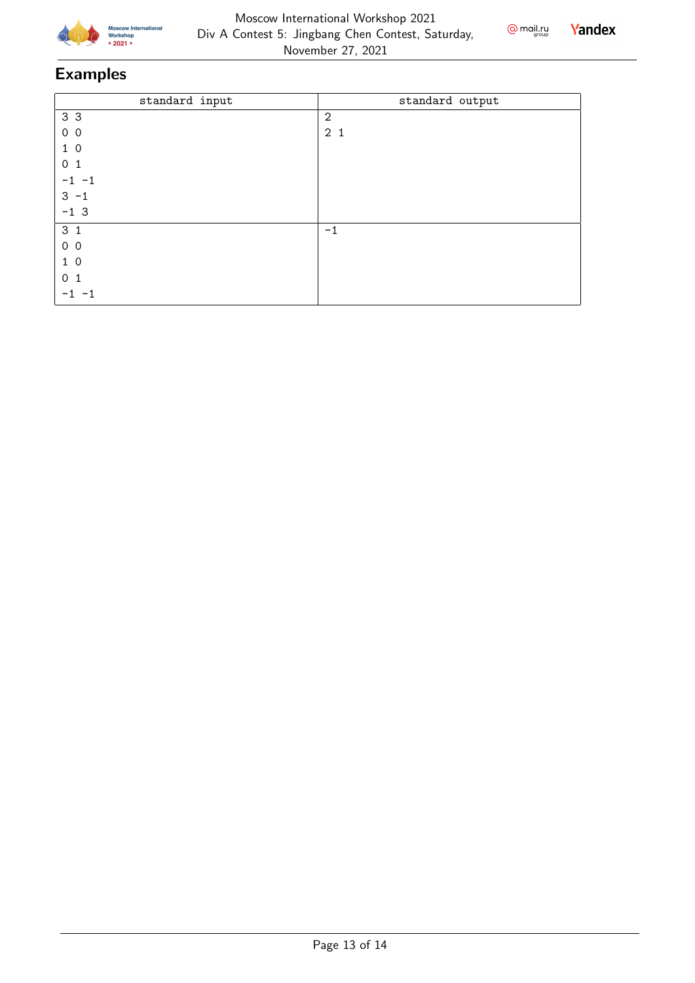



| standard input | standard output |
|----------------|-----------------|
| 3 3            | $\overline{2}$  |
| 0 <sub>0</sub> | 2 <sub>1</sub>  |
| $1\ 0$         |                 |
| 0 <sub>1</sub> |                 |
| $-1 -1$        |                 |
| $3 - 1$        |                 |
| $-13$          |                 |
| 3 <sub>1</sub> | $-1$            |
| 0 <sub>0</sub> |                 |
| $1\ 0$         |                 |
| 0 <sub>1</sub> |                 |
|                |                 |